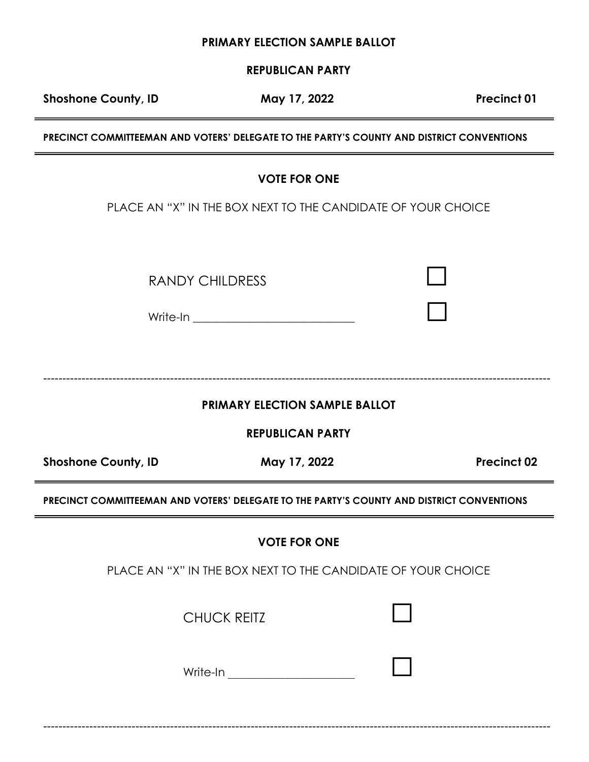**REPUBLICAN PARTY** 

Shoshone County, ID **May 17, 2022** Precinct 01

**PRECINCT COMMITTEEMAN AND VOTERS' DELEGATE TO THE PARTY'S COUNTY AND DISTRICT CONVENTIONS** 

# **VOTE FOR ONE**

PLACE AN "X" IN THE BOX NEXT TO THE CANDIDATE OF YOUR CHOICE

RANDY CHILDRESS

Write-In **with a set of the set of the set of the set of the set of the set of the set of the set of the set of the set of the set of the set of the set of the set of the set of the set of the set of the set of the set of** 

 $-1-\frac{1}{2}$ 

**PRIMARY ELECTION SAMPLE BALLOT**

**REPUBLICAN PARTY** 

Shoshone County, ID May 17, 2022 **Precinct 02** 

**PRECINCT COMMITTEEMAN AND VOTERS' DELEGATE TO THE PARTY'S COUNTY AND DISTRICT CONVENTIONS** 

**VOTE FOR ONE**

PLACE AN "X" IN THE BOX NEXT TO THE CANDIDATE OF YOUR CHOICE

------------------------------------------------------------------------------------------------------------------------------------

**CHUCK REITZ** 

| Write-In |  |  |
|----------|--|--|
|          |  |  |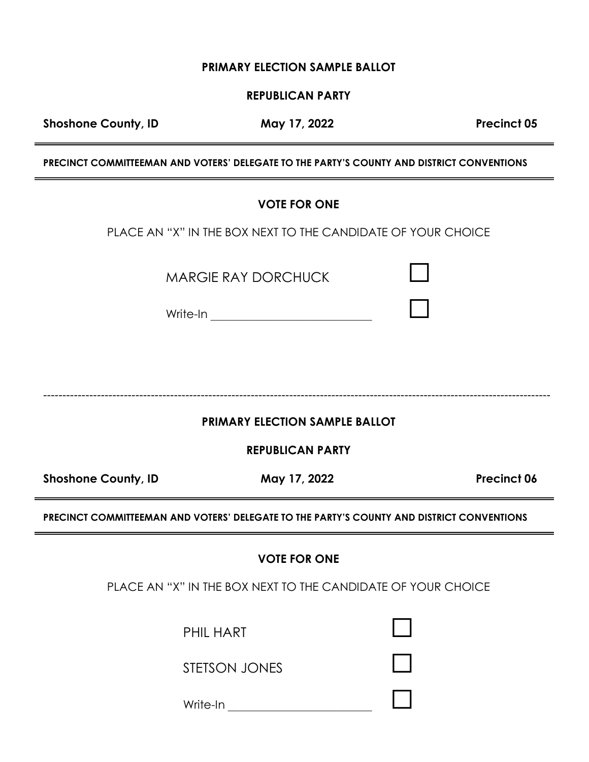**REPUBLICAN PARTY** 

Shoshone County, ID **May 17, 2022** Precinct 05

**PRECINCT COMMITTEEMAN AND VOTERS' DELEGATE TO THE PARTY'S COUNTY AND DISTRICT CONVENTIONS** 

|                            | <b>VOTE FOR ONE</b>                                                                       |             |
|----------------------------|-------------------------------------------------------------------------------------------|-------------|
|                            | PLACE AN "X" IN THE BOX NEXT TO THE CANDIDATE OF YOUR CHOICE                              |             |
|                            | <b>MARGIE RAY DORCHUCK</b>                                                                |             |
|                            | <b>PRIMARY ELECTION SAMPLE BALLOT</b>                                                     |             |
|                            | <b>REPUBLICAN PARTY</b>                                                                   |             |
| <b>Shoshone County, ID</b> | May 17, 2022                                                                              | Precinct 06 |
|                            | PRECINCT COMMITTEEMAN AND VOTERS' DELEGATE TO THE PARTY'S COUNTY AND DISTRICT CONVENTIONS |             |
|                            | <b>VOTE FOR ONE</b>                                                                       |             |
|                            | PLACE AN "X" IN THE BOX NEXT TO THE CANDIDATE OF YOUR CHOICE                              |             |
|                            | <b>PHIL HART</b>                                                                          |             |
|                            | <b>STETSON JONES</b>                                                                      |             |

Write-In \_\_\_\_\_\_\_\_\_\_\_\_\_\_\_\_\_\_\_\_\_\_\_\_\_ ☐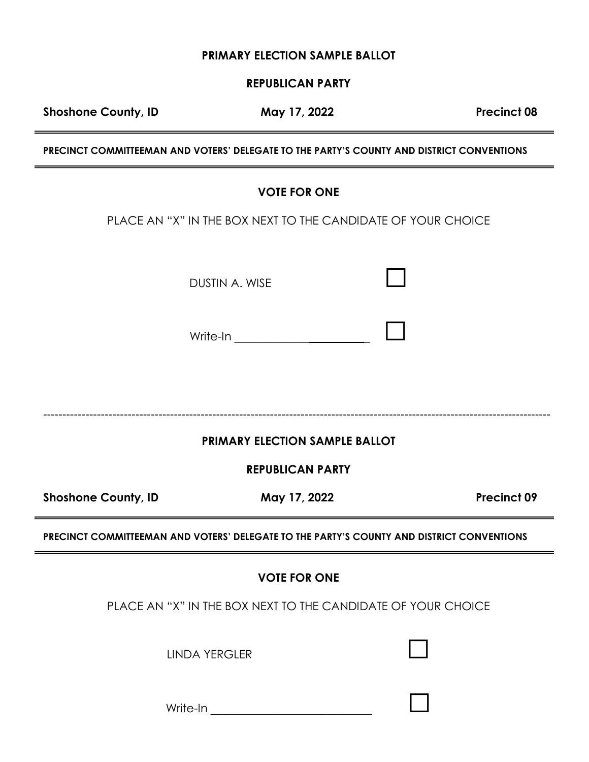#### **REPUBLICAN PARTY**

Shoshone County, ID May 17, 2022 **Precinct 08** 

**PRECINCT COMMITTEEMAN AND VOTERS' DELEGATE TO THE PARTY'S COUNTY AND DISTRICT CONVENTIONS** 

#### **VOTE FOR ONE**

PLACE AN "X" IN THE BOX NEXT TO THE CANDIDATE OF YOUR CHOICE

DUSTIN A. WISE

Write-In \_\_\_\_\_\_\_\_\_\_\_\_\_ \_ ☐

------------------------------------------------------------------------------------------------------------------------------------

## **PRIMARY ELECTION SAMPLE BALLOT**

**REPUBLICAN PARTY** 

Shoshone County, ID **May 17, 2022** Precinct 09

**PRECINCT COMMITTEEMAN AND VOTERS' DELEGATE TO THE PARTY'S COUNTY AND DISTRICT CONVENTIONS** 

#### **VOTE FOR ONE**

PLACE AN "X" IN THE BOX NEXT TO THE CANDIDATE OF YOUR CHOICE

LINDA YERGLER☐

Write-In \_\_\_\_\_\_\_\_\_\_\_\_\_\_\_\_\_\_\_\_\_\_\_\_\_\_\_\_ ☐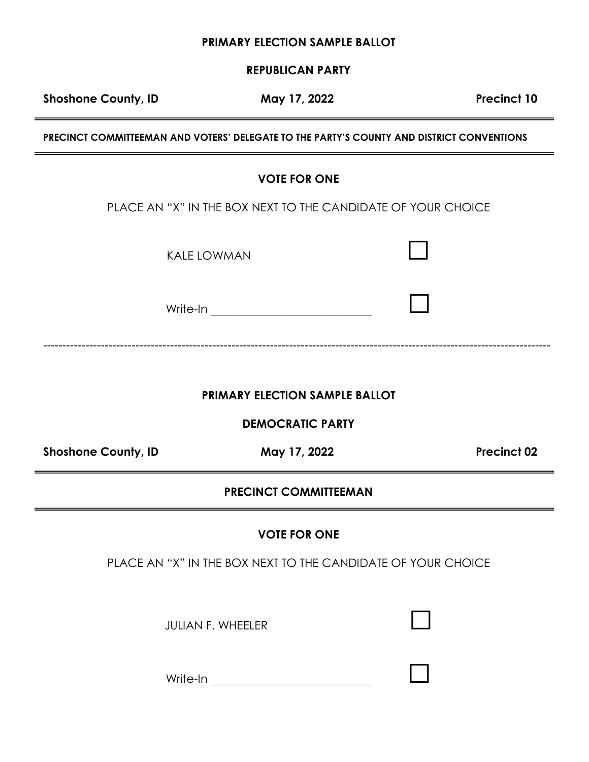**REPUBLICAN PARTY**

Shoshone County, ID **May 17, 2022** Precinct 10

**PRECINCT COMMITTEEMAN AND VOTERS' DELEGATE TO THE PARTY'S COUNTY AND DISTRICT CONVENTIONS** 

## **VOTE FOR ONE**

PLACE AN "X" IN THE BOX NEXT TO THE CANDIDATE OF YOUR CHOICE

KALE LOWMAN☐

Write-In \_\_\_\_\_\_\_\_\_\_\_\_\_\_\_\_\_\_\_\_\_\_\_\_\_\_\_\_ ☐

**PRIMARY ELECTION SAMPLE BALLOT**

------------------------------------------------------------------------------------------------------------------------------------

**DEMOCRATIC PARTY** 

Shoshone County, ID May 17, 2022 **Precinct 02** 

#### **PRECINCT COMMITTEEMAN**

**VOTE FOR ONE**

PLACE AN "X" IN THE BOX NEXT TO THE CANDIDATE OF YOUR CHOICE

JULIAN F. WHEELER☐

| Write-In |  |  |
|----------|--|--|
|          |  |  |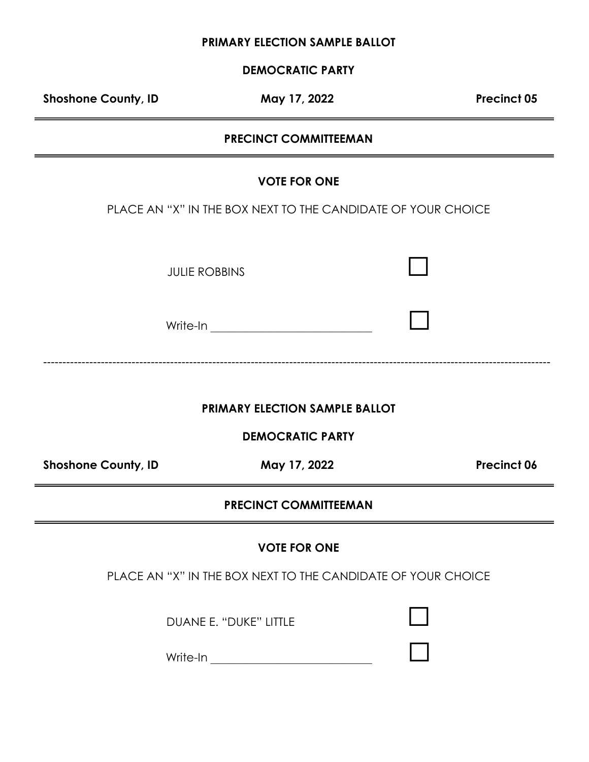**DEMOCRATIC PARTY** 

Shoshone County, ID **May 17, 2022** Precinct 05

## **PRECINCT COMMITTEEMAN**

#### **VOTE FOR ONE**

PLACE AN "X" IN THE BOX NEXT TO THE CANDIDATE OF YOUR CHOICE

**JULIE ROBBINS** 

Write-In \_\_\_\_\_\_\_\_\_\_\_\_\_\_\_\_\_\_\_\_\_\_\_\_\_\_\_\_ ☐

------------------------------------------------------------------------------------------------------------------------------------

## **PRIMARY ELECTION SAMPLE BALLOT**

**DEMOCRATIC PARTY** 

Shoshone County, ID May 17, 2022 **Precinct 06** 

### **PRECINCT COMMITTEEMAN**

#### **VOTE FOR ONE**

PLACE AN "X" IN THE BOX NEXT TO THE CANDIDATE OF YOUR CHOICE

DUANE E. "DUKE" LITTLE☐